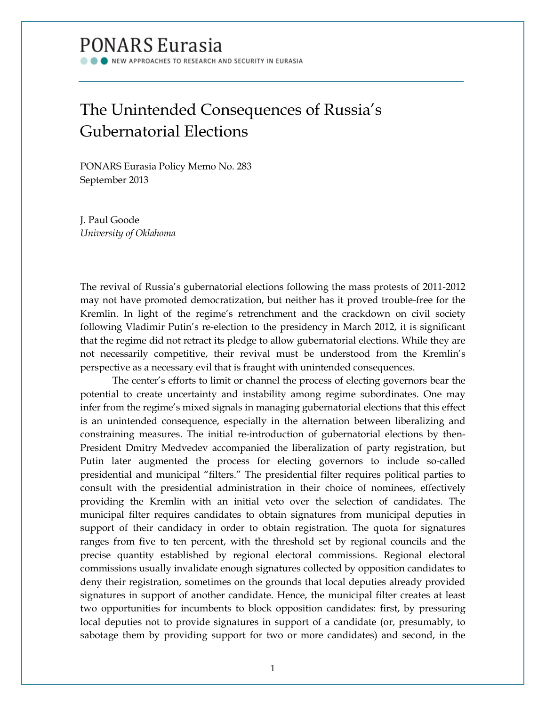## **PONARS Eurasia**

NEW APPROACHES TO RESEARCH AND SECURITY IN EURASIA

## The Unintended Consequences of Russia's Gubernatorial Elections

PONARS Eurasia Policy Memo No. 283 September 2013

J. Paul Goode *University of Oklahoma*

The revival of Russia's gubernatorial elections following the mass protests of 2011-2012 may not have promoted democratization, but neither has it proved trouble-free for the Kremlin. In light of the regime's retrenchment and the crackdown on civil society following Vladimir Putin's re-election to the presidency in March 2012, it is significant that the regime did not retract its pledge to allow gubernatorial elections. While they are not necessarily competitive, their revival must be understood from the Kremlin's perspective as a necessary evil that is fraught with unintended consequences.

The center's efforts to limit or channel the process of electing governors bear the potential to create uncertainty and instability among regime subordinates. One may infer from the regime's mixed signals in managing gubernatorial elections that this effect is an unintended consequence, especially in the alternation between liberalizing and constraining measures. The initial re-introduction of gubernatorial elections by then-President Dmitry Medvedev accompanied the liberalization of party registration, but Putin later augmented the process for electing governors to include so-called presidential and municipal "filters." The presidential filter requires political parties to consult with the presidential administration in their choice of nominees, effectively providing the Kremlin with an initial veto over the selection of candidates. The municipal filter requires candidates to obtain signatures from municipal deputies in support of their candidacy in order to obtain registration. The quota for signatures ranges from five to ten percent, with the threshold set by regional councils and the precise quantity established by regional electoral commissions. Regional electoral commissions usually invalidate enough signatures collected by opposition candidates to deny their registration, sometimes on the grounds that local deputies already provided signatures in support of another candidate. Hence, the municipal filter creates at least two opportunities for incumbents to block opposition candidates: first, by pressuring local deputies not to provide signatures in support of a candidate (or, presumably, to sabotage them by providing support for two or more candidates) and second, in the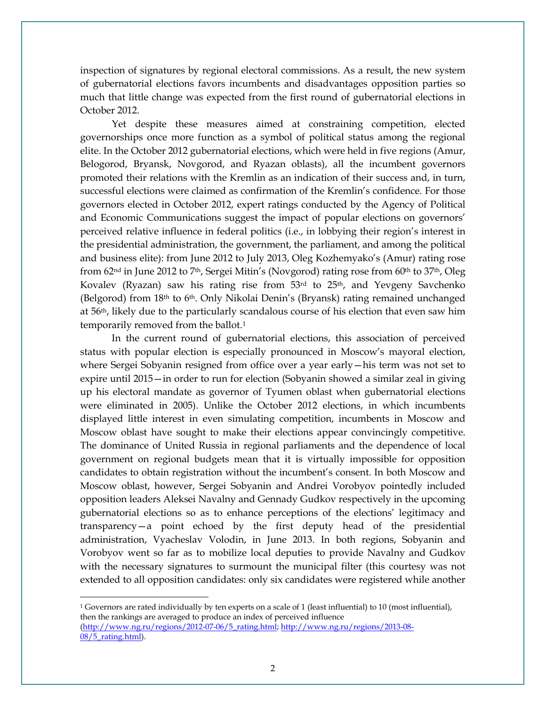inspection of signatures by regional electoral commissions. As a result, the new system of gubernatorial elections favors incumbents and disadvantages opposition parties so much that little change was expected from the first round of gubernatorial elections in October 2012.

Yet despite these measures aimed at constraining competition, elected governorships once more function as a symbol of political status among the regional elite. In the October 2012 gubernatorial elections, which were held in five regions (Amur, Belogorod, Bryansk, Novgorod, and Ryazan oblasts), all the incumbent governors promoted their relations with the Kremlin as an indication of their success and, in turn, successful elections were claimed as confirmation of the Kremlin's confidence. For those governors elected in October 2012, expert ratings conducted by the Agency of Political and Economic Communications suggest the impact of popular elections on governors' perceived relative influence in federal politics (i.e., in lobbying their region's interest in the presidential administration, the government, the parliament, and among the political and business elite): from June 2012 to July 2013, Oleg Kozhemyako's (Amur) rating rose from  $62<sup>nd</sup>$  in June 2012 to 7<sup>th</sup>, Sergei Mitin's (Novgorod) rating rose from  $60<sup>th</sup>$  to 37<sup>th</sup>, Oleg Kovalev (Ryazan) saw his rating rise from 53rd to 25th, and Yevgeny Savchenko (Belgorod) from 18th to 6th. Only Nikolai Denin's (Bryansk) rating remained unchanged at 56th, likely due to the particularly scandalous course of his election that even saw him temporarily removed from the ballot.<sup>[1](#page-1-0)</sup>

In the current round of gubernatorial elections, this association of perceived status with popular election is especially pronounced in Moscow's mayoral election, where Sergei Sobyanin resigned from office over a year early—his term was not set to expire until 2015—in order to run for election (Sobyanin showed a similar zeal in giving up his electoral mandate as governor of Tyumen oblast when gubernatorial elections were eliminated in 2005). Unlike the October 2012 elections, in which incumbents displayed little interest in even simulating competition, incumbents in Moscow and Moscow oblast have sought to make their elections appear convincingly competitive. The dominance of United Russia in regional parliaments and the dependence of local government on regional budgets mean that it is virtually impossible for opposition candidates to obtain registration without the incumbent's consent. In both Moscow and Moscow oblast, however, Sergei Sobyanin and Andrei Vorobyov pointedly included opposition leaders Aleksei Navalny and Gennady Gudkov respectively in the upcoming gubernatorial elections so as to enhance perceptions of the elections' legitimacy and transparency—a point echoed by the first deputy head of the presidential administration, Vyacheslav Volodin, in June 2013. In both regions, Sobyanin and Vorobyov went so far as to mobilize local deputies to provide Navalny and Gudkov with the necessary signatures to surmount the municipal filter (this courtesy was not extended to all opposition candidates: only six candidates were registered while another

<span id="page-1-0"></span><sup>1</sup> Governors are rated individually by ten experts on a scale of 1 (least influential) to 10 (most influential), then the rankings are averaged to produce an index of perceived influence [\(http://www.ng.ru/regions/2012-07-06/5\\_rating.html;](http://www.ng.ru/regions/2012-07-06/5_rating.html) [http://www.ng.ru/regions/2013-08-](http://www.ng.ru/regions/2013-08-08/5_rating.html) [08/5\\_rating.html\)](http://www.ng.ru/regions/2013-08-08/5_rating.html).

l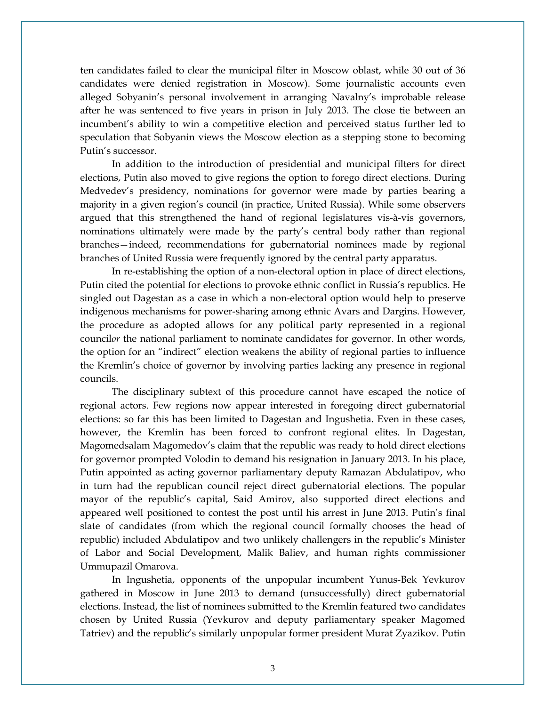ten candidates failed to clear the municipal filter in Moscow oblast, while 30 out of 36 candidates were denied registration in Moscow). Some journalistic accounts even alleged Sobyanin's personal involvement in arranging Navalny's improbable release after he was sentenced to five years in prison in July 2013. The close tie between an incumbent's ability to win a competitive election and perceived status further led to speculation that Sobyanin views the Moscow election as a stepping stone to becoming Putin's successor.

In addition to the introduction of presidential and municipal filters for direct elections, Putin also moved to give regions the option to forego direct elections. During Medvedev's presidency, nominations for governor were made by parties bearing a majority in a given region's council (in practice, United Russia). While some observers argued that this strengthened the hand of regional legislatures vis-à-vis governors, nominations ultimately were made by the party's central body rather than regional branches—indeed, recommendations for gubernatorial nominees made by regional branches of United Russia were frequently ignored by the central party apparatus.

In re-establishing the option of a non-electoral option in place of direct elections, Putin cited the potential for elections to provoke ethnic conflict in Russia's republics. He singled out Dagestan as a case in which a non-electoral option would help to preserve indigenous mechanisms for power-sharing among ethnic Avars and Dargins. However, the procedure as adopted allows for any political party represented in a regional council*or* the national parliament to nominate candidates for governor. In other words, the option for an "indirect" election weakens the ability of regional parties to influence the Kremlin's choice of governor by involving parties lacking any presence in regional councils.

The disciplinary subtext of this procedure cannot have escaped the notice of regional actors. Few regions now appear interested in foregoing direct gubernatorial elections: so far this has been limited to Dagestan and Ingushetia. Even in these cases, however, the Kremlin has been forced to confront regional elites. In Dagestan, Magomedsalam Magomedov's claim that the republic was ready to hold direct elections for governor prompted Volodin to demand his resignation in January 2013. In his place, Putin appointed as acting governor parliamentary deputy Ramazan Abdulatipov, who in turn had the republican council reject direct gubernatorial elections. The popular mayor of the republic's capital, Said Amirov, also supported direct elections and appeared well positioned to contest the post until his arrest in June 2013. Putin's final slate of candidates (from which the regional council formally chooses the head of republic) included Abdulatipov and two unlikely challengers in the republic's Minister of Labor and Social Development, Malik Baliev, and human rights commissioner Ummupazil Omarova.

In Ingushetia, opponents of the unpopular incumbent Yunus-Bek Yevkurov gathered in Moscow in June 2013 to demand (unsuccessfully) direct gubernatorial elections. Instead, the list of nominees submitted to the Kremlin featured two candidates chosen by United Russia (Yevkurov and deputy parliamentary speaker Magomed Tatriev) and the republic's similarly unpopular former president Murat Zyazikov. Putin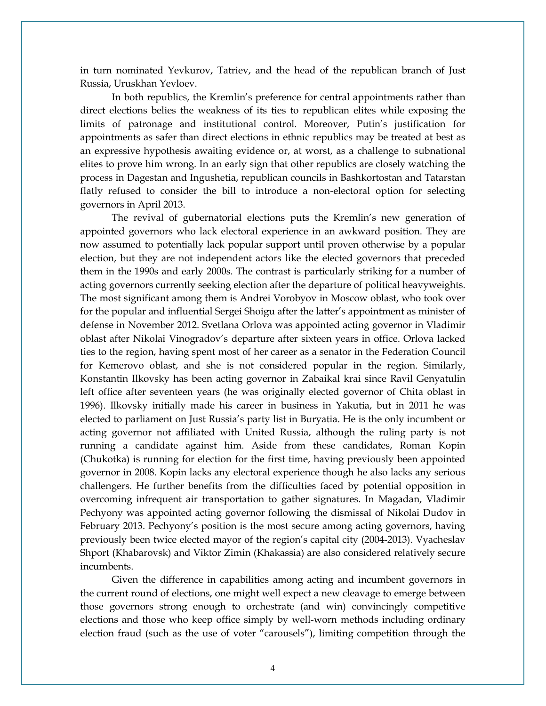in turn nominated Yevkurov, Tatriev, and the head of the republican branch of Just Russia, Uruskhan Yevloev.

In both republics, the Kremlin's preference for central appointments rather than direct elections belies the weakness of its ties to republican elites while exposing the limits of patronage and institutional control. Moreover, Putin's justification for appointments as safer than direct elections in ethnic republics may be treated at best as an expressive hypothesis awaiting evidence or, at worst, as a challenge to subnational elites to prove him wrong. In an early sign that other republics are closely watching the process in Dagestan and Ingushetia, republican councils in Bashkortostan and Tatarstan flatly refused to consider the bill to introduce a non-electoral option for selecting governors in April 2013.

The revival of gubernatorial elections puts the Kremlin's new generation of appointed governors who lack electoral experience in an awkward position. They are now assumed to potentially lack popular support until proven otherwise by a popular election, but they are not independent actors like the elected governors that preceded them in the 1990s and early 2000s. The contrast is particularly striking for a number of acting governors currently seeking election after the departure of political heavyweights. The most significant among them is Andrei Vorobyov in Moscow oblast, who took over for the popular and influential Sergei Shoigu after the latter's appointment as minister of defense in November 2012. Svetlana Orlova was appointed acting governor in Vladimir oblast after Nikolai Vinogradov's departure after sixteen years in office. Orlova lacked ties to the region, having spent most of her career as a senator in the Federation Council for Kemerovo oblast, and she is not considered popular in the region. Similarly, Konstantin Ilkovsky has been acting governor in Zabaikal krai since Ravil Genyatulin left office after seventeen years (he was originally elected governor of Chita oblast in 1996). Ilkovsky initially made his career in business in Yakutia, but in 2011 he was elected to parliament on Just Russia's party list in Buryatia. He is the only incumbent or acting governor not affiliated with United Russia, although the ruling party is not running a candidate against him. Aside from these candidates, Roman Kopin (Chukotka) is running for election for the first time, having previously been appointed governor in 2008. Kopin lacks any electoral experience though he also lacks any serious challengers. He further benefits from the difficulties faced by potential opposition in overcoming infrequent air transportation to gather signatures. In Magadan, Vladimir Pechyony was appointed acting governor following the dismissal of Nikolai Dudov in February 2013. Pechyony's position is the most secure among acting governors, having previously been twice elected mayor of the region's capital city (2004-2013). Vyacheslav Shport (Khabarovsk) and Viktor Zimin (Khakassia) are also considered relatively secure incumbents.

Given the difference in capabilities among acting and incumbent governors in the current round of elections, one might well expect a new cleavage to emerge between those governors strong enough to orchestrate (and win) convincingly competitive elections and those who keep office simply by well-worn methods including ordinary election fraud (such as the use of voter "carousels"), limiting competition through the